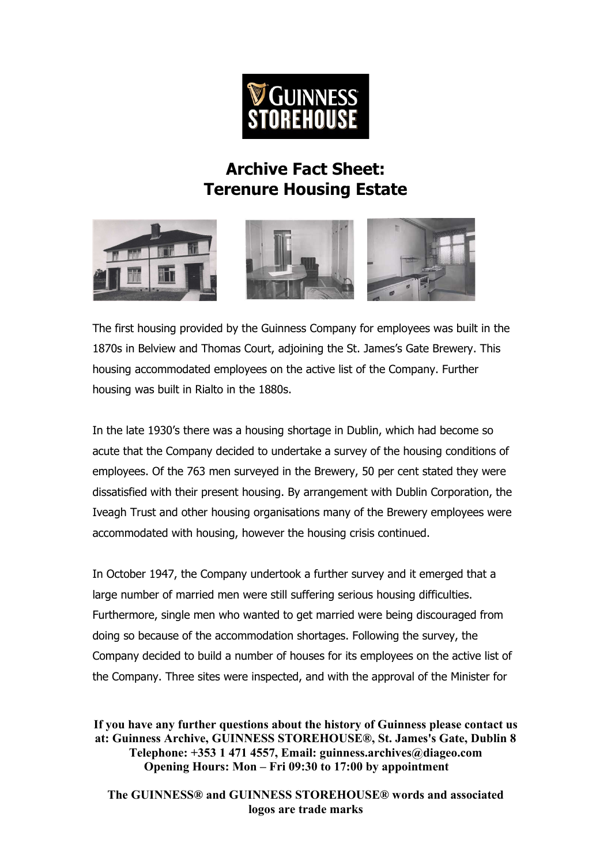

## **Archive Fact Sheet: Terenure Housing Estate**



The first housing provided by the Guinness Company for employees was built in the 1870s in Belview and Thomas Court, adjoining the St. James's Gate Brewery. This housing accommodated employees on the active list of the Company. Further housing was built in Rialto in the 1880s.

In the late 1930's there was a housing shortage in Dublin, which had become so acute that the Company decided to undertake a survey of the housing conditions of employees. Of the 763 men surveyed in the Brewery, 50 per cent stated they were dissatisfied with their present housing. By arrangement with Dublin Corporation, the Iveagh Trust and other housing organisations many of the Brewery employees were accommodated with housing, however the housing crisis continued.

In October 1947, the Company undertook a further survey and it emerged that a large number of married men were still suffering serious housing difficulties. Furthermore, single men who wanted to get married were being discouraged from doing so because of the accommodation shortages. Following the survey, the Company decided to build a number of houses for its employees on the active list of the Company. Three sites were inspected, and with the approval of the Minister for

**If you have any further questions about the history of Guinness please contact us at: Guinness Archive, GUINNESS STOREHOUSE®, St. James's Gate, Dublin 8 Telephone: +353 1 471 4557, Email: guinness.archives@diageo.com Opening Hours: Mon – Fri 09:30 to 17:00 by appointment**

**The GUINNESS® and GUINNESS STOREHOUSE® words and associated logos are trade marks**